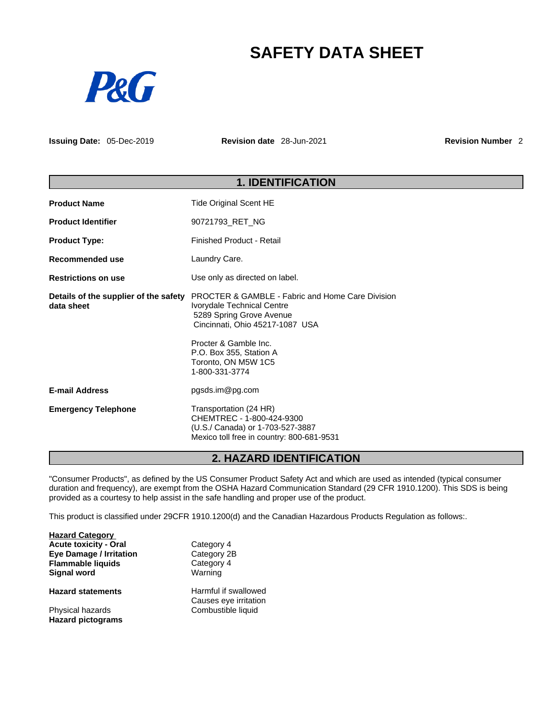# **SAFETY DATA SHEET**



**Issuing Date:** 05-Dec-2019 **Revision date** 28-Jun-2021 **Revision Number** 2

| <b>1. IDENTIFICATION</b>                            |                                                                                                                                                                                                                                                       |  |
|-----------------------------------------------------|-------------------------------------------------------------------------------------------------------------------------------------------------------------------------------------------------------------------------------------------------------|--|
| <b>Product Name</b>                                 | <b>Tide Original Scent HE</b>                                                                                                                                                                                                                         |  |
| <b>Product Identifier</b>                           | 90721793_RET_NG                                                                                                                                                                                                                                       |  |
| <b>Product Type:</b>                                | <b>Finished Product - Retail</b>                                                                                                                                                                                                                      |  |
| Recommended use                                     | Laundry Care.                                                                                                                                                                                                                                         |  |
| <b>Restrictions on use</b>                          | Use only as directed on label.                                                                                                                                                                                                                        |  |
| Details of the supplier of the safety<br>data sheet | <b>PROCTER &amp; GAMBLE - Fabric and Home Care Division</b><br>Ivorydale Technical Centre<br>5289 Spring Grove Avenue<br>Cincinnati, Ohio 45217-1087 USA<br>Procter & Gamble Inc.<br>P.O. Box 355, Station A<br>Toronto, ON M5W 1C5<br>1-800-331-3774 |  |
| <b>E-mail Address</b>                               | pgsds.im@pg.com                                                                                                                                                                                                                                       |  |
| <b>Emergency Telephone</b>                          | Transportation (24 HR)<br>CHEMTREC - 1-800-424-9300<br>(U.S./ Canada) or 1-703-527-3887<br>Mexico toll free in country: 800-681-9531                                                                                                                  |  |

# **2. HAZARD IDENTIFICATION**

"Consumer Products", as defined by the US Consumer Product Safety Act and which are used as intended (typical consumer duration and frequency), are exempt from the OSHA Hazard Communication Standard (29 CFR 1910.1200). This SDS is being provided as a courtesy to help assist in the safe handling and proper use of the product.

This product is classified under 29CFR 1910.1200(d) and the Canadian Hazardous Products Regulation as follows:.

| <b>Hazard Category</b>         |                       |  |
|--------------------------------|-----------------------|--|
| <b>Acute toxicity - Oral</b>   | Category 4            |  |
| <b>Eye Damage / Irritation</b> | Category 2B           |  |
| <b>Flammable liquids</b>       | Category 4            |  |
| Signal word                    | Warning               |  |
| <b>Hazard statements</b>       | Harmful if swallowed  |  |
|                                | Causes eye irritation |  |
| Physical hazards               | Combustible liquid    |  |
| <b>Hazard pictograms</b>       |                       |  |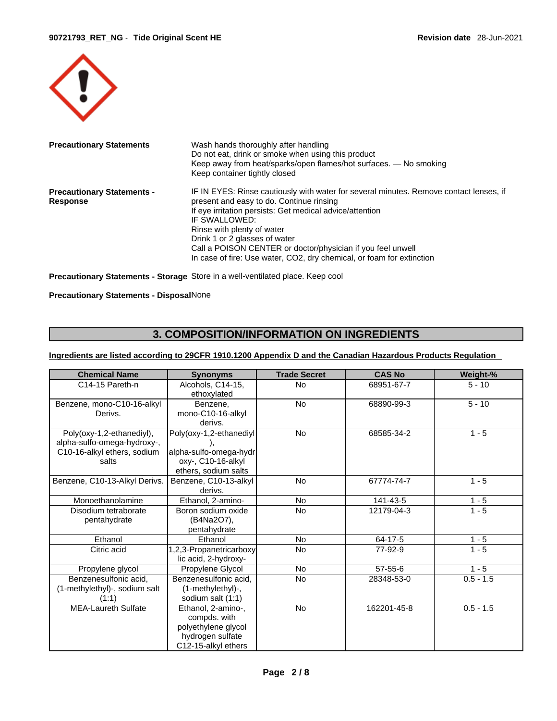

| <b>Precautionary Statements</b>               | Wash hands thoroughly after handling<br>Do not eat, drink or smoke when using this product<br>Keep away from heat/sparks/open flames/hot surfaces. — No smoking<br>Keep container tightly closed                                                                                                                                                                                                                       |
|-----------------------------------------------|------------------------------------------------------------------------------------------------------------------------------------------------------------------------------------------------------------------------------------------------------------------------------------------------------------------------------------------------------------------------------------------------------------------------|
| <b>Precautionary Statements -</b><br>Response | IF IN EYES: Rinse cautiously with water for several minutes. Remove contact lenses, if<br>present and easy to do. Continue rinsing<br>If eye irritation persists: Get medical advice/attention<br>IF SWALLOWED:<br>Rinse with plenty of water<br>Drink 1 or 2 glasses of water<br>Call a POISON CENTER or doctor/physician if you feel unwell<br>In case of fire: Use water, CO2, dry chemical, or foam for extinction |

**Precautionary Statements - Storage** Store in a well-ventilated place. Keep cool

#### **Precautionary Statements - Disposal**None

# **3. COMPOSITION/INFORMATION ON INGREDIENTS**

### **Ingredients are listed according to 29CFR 1910.1200 Appendix D and the Canadian Hazardous Products Regulation**

| <b>Chemical Name</b>                                                                             | <b>Synonyms</b>                                                                                      | <b>Trade Secret</b> | <b>CAS No</b> | Weight-%    |
|--------------------------------------------------------------------------------------------------|------------------------------------------------------------------------------------------------------|---------------------|---------------|-------------|
| C14-15 Pareth-n                                                                                  | Alcohols, C14-15,<br>ethoxylated                                                                     | No                  | 68951-67-7    | $5 - 10$    |
| Benzene, mono-C10-16-alkyl<br>Derivs.                                                            | Benzene,<br>mono-C10-16-alkyl<br>derivs.                                                             | No                  | 68890-99-3    | $5 - 10$    |
| Poly(oxy-1,2-ethanediyl),<br>alpha-sulfo-omega-hydroxy-,<br>C10-16-alkyl ethers, sodium<br>salts | Poly(oxy-1,2-ethanediyl<br>alpha-sulfo-omega-hydr<br>oxy-, C10-16-alkyl<br>ethers, sodium salts      | No                  | 68585-34-2    | $1 - 5$     |
| Benzene, C10-13-Alkyl Derivs.                                                                    | Benzene, C10-13-alkyl<br>derivs.                                                                     | <b>No</b>           | 67774-74-7    | $1 - 5$     |
| Monoethanolamine                                                                                 | Ethanol, 2-amino-                                                                                    | <b>No</b>           | 141-43-5      | $1 - 5$     |
| Disodium tetraborate<br>pentahydrate                                                             | Boron sodium oxide<br>(B4Na2O7),<br>pentahydrate                                                     | No                  | 12179-04-3    | $1 - 5$     |
| Ethanol                                                                                          | Ethanol                                                                                              | No                  | 64-17-5       | $1 - 5$     |
| Citric acid                                                                                      | 1,2,3-Propanetricarboxy<br>lic acid, 2-hydroxy-                                                      | <b>No</b>           | 77-92-9       | $1 - 5$     |
| Propylene glycol                                                                                 | Propylene Glycol                                                                                     | <b>No</b>           | 57-55-6       | $1 - 5$     |
| Benzenesulfonic acid,<br>(1-methylethyl)-, sodium salt<br>(1:1)                                  | Benzenesulfonic acid,<br>(1-methylethyl)-,<br>sodium salt (1:1)                                      | <b>No</b>           | 28348-53-0    | $0.5 - 1.5$ |
| <b>MEA-Laureth Sulfate</b>                                                                       | Ethanol, 2-amino-,<br>compds. with<br>polyethylene glycol<br>hydrogen sulfate<br>C12-15-alkyl ethers | <b>No</b>           | 162201-45-8   | $0.5 - 1.5$ |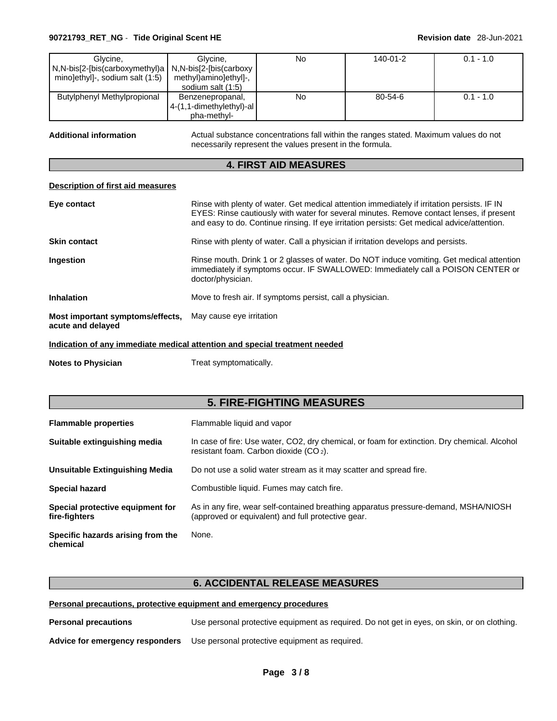#### **90721793\_RET\_NG** - **Tide Original Scent HE Revision date** 28-Jun-2021

| Glvcine.                                                | Glvcine.                    | No | 140-01-2      | $0.1 - 1.0$ |
|---------------------------------------------------------|-----------------------------|----|---------------|-------------|
| N,N-bis[2-[bis(carboxymethyl)a   N,N-bis[2-[bis(carboxy |                             |    |               |             |
| mino]ethyl]-, sodium salt (1:5)                         | methyl)amino]ethyl]-,       |    |               |             |
|                                                         | sodium salt (1:5)           |    |               |             |
| <b>Butylphenyl Methylpropional</b>                      | Benzenepropanal,            | No | $80 - 54 - 6$ | $0.1 - 1.0$ |
|                                                         | $4-(1,1$ -dimethylethyl)-al |    |               |             |
|                                                         | pha-methyl-                 |    |               |             |

Additional information **Actual substance concentrations fall within the ranges stated. Maximum values do not** necessarily represent the values present in the formula.

# **4. FIRST AID MEASURES**

#### **Description of first aid measures**

| Eye contact                                           | Rinse with plenty of water. Get medical attention immediately if irritation persists. IF IN<br>EYES: Rinse cautiously with water for several minutes. Remove contact lenses, if present<br>and easy to do. Continue rinsing. If eye irritation persists: Get medical advice/attention. |
|-------------------------------------------------------|----------------------------------------------------------------------------------------------------------------------------------------------------------------------------------------------------------------------------------------------------------------------------------------|
| <b>Skin contact</b>                                   | Rinse with plenty of water. Call a physician if irritation develops and persists.                                                                                                                                                                                                      |
| <b>Ingestion</b>                                      | Rinse mouth. Drink 1 or 2 glasses of water. Do NOT induce vomiting. Get medical attention<br>immediately if symptoms occur. IF SWALLOWED: Immediately call a POISON CENTER or<br>doctor/physician.                                                                                     |
| <b>Inhalation</b>                                     | Move to fresh air. If symptoms persist, call a physician.                                                                                                                                                                                                                              |
| Most important symptoms/effects,<br>acute and delayed | May cause eye irritation                                                                                                                                                                                                                                                               |
|                                                       |                                                                                                                                                                                                                                                                                        |

**Indication of any immediate medical attention and special treatment needed**

**Notes to Physician** Treat symptomatically.

# **5. FIRE-FIGHTING MEASURES**

| <b>Flammable properties</b>                       | Flammable liquid and vapor                                                                                                                |
|---------------------------------------------------|-------------------------------------------------------------------------------------------------------------------------------------------|
| Suitable extinguishing media                      | In case of fire: Use water, CO2, dry chemical, or foam for extinction. Dry chemical. Alcohol<br>resistant foam. Carbon dioxide $(CO_2)$ . |
| Unsuitable Extinguishing Media                    | Do not use a solid water stream as it may scatter and spread fire.                                                                        |
| <b>Special hazard</b>                             | Combustible liquid. Fumes may catch fire.                                                                                                 |
| Special protective equipment for<br>fire-fighters | As in any fire, wear self-contained breathing apparatus pressure-demand, MSHA/NIOSH<br>(approved or equivalent) and full protective gear. |
| Specific hazards arising from the<br>chemical     | None.                                                                                                                                     |

# **6. ACCIDENTAL RELEASE MEASURES**

**Personal precautions, protective equipment and emergency procedures**

**Personal precautions** Use personal protective equipment as required.Do not get in eyes, on skin, or on clothing.

**Advice for emergency responders** Use personal protective equipment as required.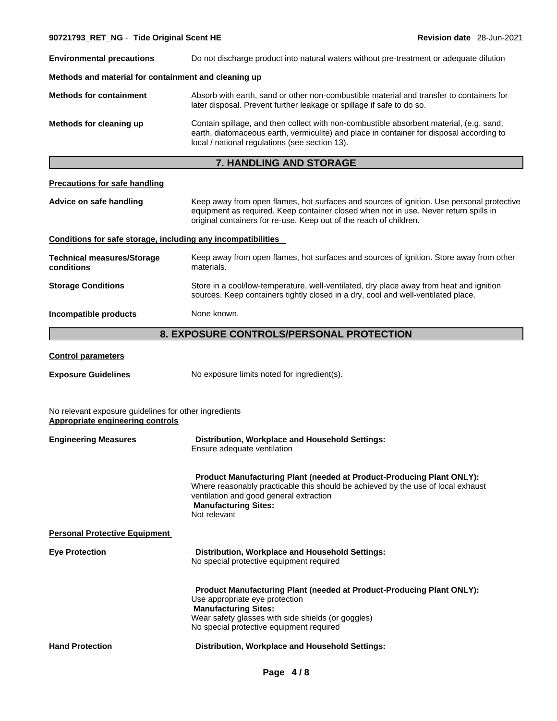**90721793\_RET\_NG** - **Tide Original Scent HE Revision date** 28-Jun-2021 **Environmental precautions** Do not discharge product into natural waters without pre-treatment or adequate dilution **Methods and material for containment and cleaning up Methods for containment** Absorb with earth, sand or other non-combustible material and transfer to containers for later disposal. Prevent further leakage or spillage if safe to do so. **Methods for cleaning up** Contain spillage, and then collect with non-combustible absorbent material, (e.g. sand, earth, diatomaceous earth, vermiculite) and place in container for disposal according to local / national regulations (see section 13). **7. HANDLING AND STORAGE Precautions for safe handling Advice on safe handling** Keep away from open flames, hot surfaces and sources of ignition. Use personal protective equipment as required. Keep container closed when not in use. Never return spills in original containers for re-use. Keep out of the reach of children. **Conditions for safe storage, including any incompatibilities Technical measures/Storage conditions**  Keep away from open flames, hot surfaces and sources of ignition. Store away from other materials. **Storage Conditions** Store in a cool/low-temperature, well-ventilated, dry place away from heat and ignition sources. Keep containers tightly closed in a dry, cool and well-ventilated place. **Incompatible products** None known. **8. EXPOSURE CONTROLS/PERSONAL PROTECTION** 

#### **Control parameters**

**Exposure Guidelines** No exposure limits noted for ingredient(s).

No relevant exposure guidelines for other ingredients **Appropriate engineering controls**

| <b>Engineering Measures</b>          | Distribution, Workplace and Household Settings:<br>Ensure adequate ventilation                                                                                                                                                                             |
|--------------------------------------|------------------------------------------------------------------------------------------------------------------------------------------------------------------------------------------------------------------------------------------------------------|
|                                      | <b>Product Manufacturing Plant (needed at Product-Producing Plant ONLY):</b><br>Where reasonably practicable this should be achieved by the use of local exhaust<br>ventilation and good general extraction<br><b>Manufacturing Sites:</b><br>Not relevant |
| <b>Personal Protective Equipment</b> |                                                                                                                                                                                                                                                            |
| <b>Eye Protection</b>                | Distribution, Workplace and Household Settings:<br>No special protective equipment required                                                                                                                                                                |
|                                      | <b>Product Manufacturing Plant (needed at Product-Producing Plant ONLY):</b><br>Use appropriate eye protection<br><b>Manufacturing Sites:</b><br>Wear safety glasses with side shields (or goggles)<br>No special protective equipment required            |
| <b>Hand Protection</b>               | Distribution, Workplace and Household Settings:                                                                                                                                                                                                            |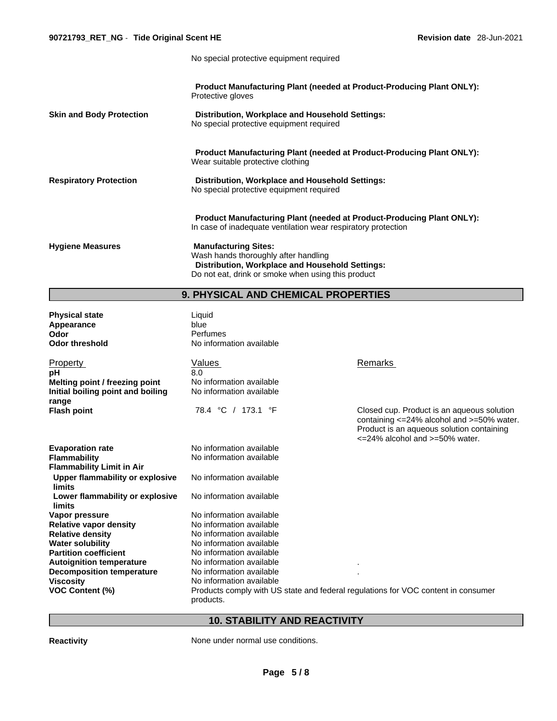No special protective equipment required

| <b>Skin and Body Protection</b> | <b>Product Manufacturing Plant (needed at Product-Producing Plant ONLY):</b><br>Protective gloves<br>Distribution, Workplace and Household Settings:<br>No special protective equipment required                                                                                                                              |
|---------------------------------|-------------------------------------------------------------------------------------------------------------------------------------------------------------------------------------------------------------------------------------------------------------------------------------------------------------------------------|
| <b>Respiratory Protection</b>   | Product Manufacturing Plant (needed at Product-Producing Plant ONLY):<br>Wear suitable protective clothing<br>Distribution, Workplace and Household Settings:<br>No special protective equipment required                                                                                                                     |
| <b>Hygiene Measures</b>         | <b>Product Manufacturing Plant (needed at Product-Producing Plant ONLY):</b><br>In case of inadequate ventilation wear respiratory protection<br><b>Manufacturing Sites:</b><br>Wash hands thoroughly after handling<br>Distribution, Workplace and Household Settings:<br>Do not eat, drink or smoke when using this product |

# **9. PHYSICAL AND CHEMICAL PROPERTIES**

| <b>Physical state</b><br>Appearance<br>Odor<br><b>Odor threshold</b>                                  | Liquid<br>blue<br>Perfumes<br>No information available                                         |                                                                                                                                                                                             |
|-------------------------------------------------------------------------------------------------------|------------------------------------------------------------------------------------------------|---------------------------------------------------------------------------------------------------------------------------------------------------------------------------------------------|
| <b>Property</b><br>рH<br>Melting point / freezing point<br>Initial boiling point and boiling<br>range | Values<br>8.0<br>No information available<br>No information available                          | Remarks                                                                                                                                                                                     |
| <b>Flash point</b>                                                                                    | 78.4 °C / 173.1 °F                                                                             | Closed cup. Product is an aqueous solution<br>containing <= 24% alcohol and >=50% water.<br>Product is an aqueous solution containing<br>$\epsilon$ =24% alcohol and $\epsilon$ =50% water. |
| <b>Evaporation rate</b>                                                                               | No information available                                                                       |                                                                                                                                                                                             |
| <b>Flammability</b>                                                                                   | No information available                                                                       |                                                                                                                                                                                             |
| <b>Flammability Limit in Air</b>                                                                      |                                                                                                |                                                                                                                                                                                             |
| Upper flammability or explosive<br>limits                                                             | No information available                                                                       |                                                                                                                                                                                             |
| Lower flammability or explosive<br>limits                                                             | No information available                                                                       |                                                                                                                                                                                             |
| Vapor pressure                                                                                        | No information available                                                                       |                                                                                                                                                                                             |
| <b>Relative vapor density</b>                                                                         | No information available                                                                       |                                                                                                                                                                                             |
| <b>Relative density</b>                                                                               | No information available                                                                       |                                                                                                                                                                                             |
| <b>Water solubility</b>                                                                               | No information available                                                                       |                                                                                                                                                                                             |
| <b>Partition coefficient</b>                                                                          | No information available                                                                       |                                                                                                                                                                                             |
| <b>Autoignition temperature</b>                                                                       | No information available                                                                       |                                                                                                                                                                                             |
| <b>Decomposition temperature</b>                                                                      | No information available                                                                       |                                                                                                                                                                                             |
| <b>Viscosity</b>                                                                                      | No information available                                                                       |                                                                                                                                                                                             |
| <b>VOC Content (%)</b>                                                                                | Products comply with US state and federal regulations for VOC content in consumer<br>products. |                                                                                                                                                                                             |

# **10. STABILITY AND REACTIVITY**

**Reactivity None under normal use conditions.**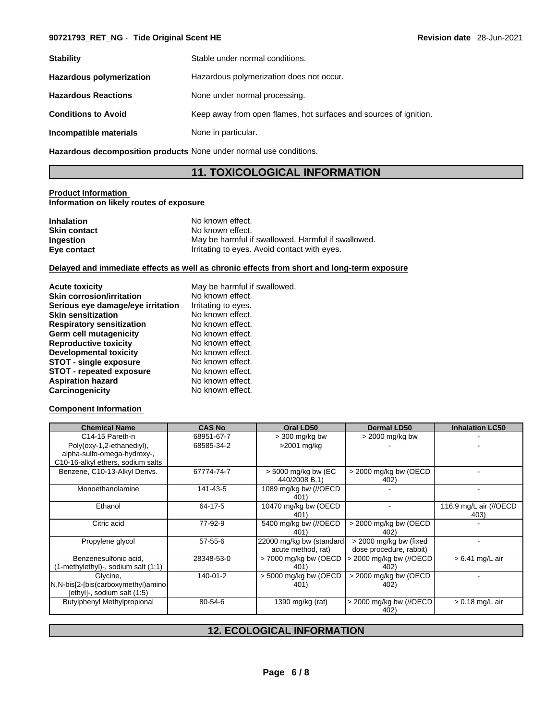# **90721793\_RET\_NG** - **Tide Original Scent HE Revision date** 28-Jun-2021

| <b>Stability</b>                | Stable under normal conditions.                                   |
|---------------------------------|-------------------------------------------------------------------|
| <b>Hazardous polymerization</b> | Hazardous polymerization does not occur.                          |
| <b>Hazardous Reactions</b>      | None under normal processing.                                     |
| <b>Conditions to Avoid</b>      | Keep away from open flames, hot surfaces and sources of ignition. |
| Incompatible materials          | None in particular.                                               |

**Hazardous decomposition products** None under normal use conditions.

# **11. TOXICOLOGICAL INFORMATION**

#### **Product Information Information on likely routes of exposure**

| <b>Inhalation</b>   | No known effect.                                   |
|---------------------|----------------------------------------------------|
| <b>Skin contact</b> | No known effect.                                   |
| Ingestion           | May be harmful if swallowed. Harmful if swallowed. |
| Eye contact         | Irritating to eyes. Avoid contact with eyes.       |

#### **Delayed and immediate effects as well as chronic effects from short and long-term exposure**

| <b>Acute toxicity</b>             | May be harmful if swallowed. |
|-----------------------------------|------------------------------|
| <b>Skin corrosion/irritation</b>  | No known effect.             |
| Serious eye damage/eye irritation | Irritating to eyes.          |
| <b>Skin sensitization</b>         | No known effect.             |
| <b>Respiratory sensitization</b>  | No known effect.             |
| Germ cell mutagenicity            | No known effect.             |
| <b>Reproductive toxicity</b>      | No known effect.             |
| Developmental toxicity            | No known effect.             |
| <b>STOT - single exposure</b>     | No known effect.             |
| STOT - repeated exposure          | No known effect.             |
| <b>Aspiration hazard</b>          | No known effect.             |
| Carcinogenicity                   | No known effect.             |

#### **Component Information**

| <b>Chemical Name</b>                                                                          | <b>CAS No</b> | Oral LD50                                       | <b>Dermal LD50</b>                                 | <b>Inhalation LC50</b>         |
|-----------------------------------------------------------------------------------------------|---------------|-------------------------------------------------|----------------------------------------------------|--------------------------------|
| C14-15 Pareth-n                                                                               | 68951-67-7    | $>$ 300 mg/kg bw                                | $>$ 2000 mg/kg bw                                  |                                |
| Poly(oxy-1,2-ethanediyl),<br>alpha-sulfo-omega-hydroxy-,<br>C10-16-alkyl ethers, sodium salts | 68585-34-2    | >2001 mg/kg                                     |                                                    |                                |
| Benzene, C10-13-Alkyl Derivs.                                                                 | 67774-74-7    | $>$ 5000 mg/kg bw (EC<br>440/2008 B.1)          | $>$ 2000 mg/kg bw (OECD<br>402)                    |                                |
| Monoethanolamine                                                                              | 141-43-5      | 1089 mg/kg bw (//OECD<br>401                    |                                                    |                                |
| Ethanol                                                                                       | 64-17-5       | 10470 mg/kg bw (OECD<br>401                     |                                                    | 116.9 mg/L air (//OECD<br>403) |
| Citric acid                                                                                   | 77-92-9       | 5400 mg/kg bw (//OECD<br>401                    | > 2000 mg/kg bw (OECD<br>402)                      |                                |
| Propylene glycol                                                                              | $57 - 55 - 6$ | 22000 mg/kg bw (standard)<br>acute method, rat) | > 2000 mg/kg bw (fixed)<br>dose procedure, rabbit) |                                |
| Benzenesulfonic acid,<br>(1-methylethyl)-, sodium salt (1:1)                                  | 28348-53-0    | > 7000 mg/kg bw (OECD)<br>401)                  | > 2000 mg/kg bw (//OECD<br>402)                    | $> 6.41$ mg/L air              |
| Glycine,<br>N,N-bis[2-[bis(carboxymethyl)amino]<br>Jethyl]-, sodium salt (1:5)                | 140-01-2      | > 5000 mg/kg bw (OECD<br>401)                   | > 2000 mg/kg bw (OECD<br>402)                      |                                |
| <b>Butylphenyl Methylpropional</b>                                                            | $80 - 54 - 6$ | 1390 mg/kg (rat)                                | > 2000 mg/kg bw (//OECD)<br>402)                   | $> 0.18$ mg/L air              |

# **12. ECOLOGICAL INFORMATION**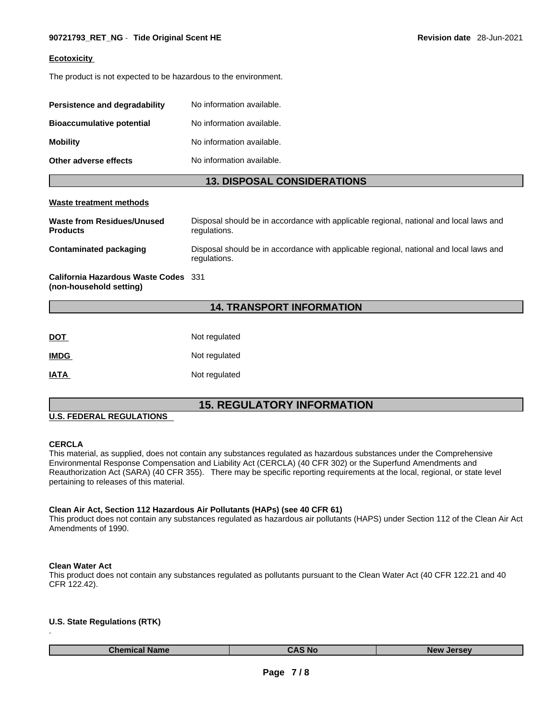#### **Ecotoxicity**

The product is not expected to be hazardous to the environment.

| Persistence and degradability    | No information available. |
|----------------------------------|---------------------------|
| <b>Bioaccumulative potential</b> | No information available. |
| <b>Mobility</b>                  | No information available. |
| Other adverse effects            | No information available. |

#### **13. DISPOSAL CONSIDERATIONS**

#### **Waste treatment methods**

| Waste from Residues/Unused<br><b>Products</b> | Disposal should be in accordance with applicable regional, national and local laws and<br>regulations. |
|-----------------------------------------------|--------------------------------------------------------------------------------------------------------|
| <b>Contaminated packaging</b>                 | Disposal should be in accordance with applicable regional, national and local laws and<br>regulations. |
| California Hazardous Waste Codes 331          |                                                                                                        |

**(non-household setting)**

# **14. TRANSPORT INFORMATION**

| DOT         | Not regulated |
|-------------|---------------|
| <b>IMDG</b> | Not regulated |
| IATA        | Not regulated |

# **15. REGULATORY INFORMATION**

# **U.S. FEDERAL REGULATIONS**

#### **CERCLA**

This material, as supplied, does not contain any substances regulated as hazardous substances under the Comprehensive Environmental Response Compensation and Liability Act (CERCLA) (40 CFR 302) or the Superfund Amendments and Reauthorization Act (SARA) (40 CFR 355). There may be specific reporting requirements at the local, regional, or state level pertaining to releases of this material.

#### **Clean Air Act,Section 112 Hazardous Air Pollutants (HAPs) (see 40 CFR 61)**

This product does not contain any substances regulated as hazardous air pollutants (HAPS) under Section 112 of the Clean Air Act Amendments of 1990.

#### **Clean Water Act**

This product does not contain any substances regulated as pollutants pursuant to the Clean Water Act (40 CFR 122.21 and 40 CFR 122.42).

#### **U.S. State Regulations (RTK)** .